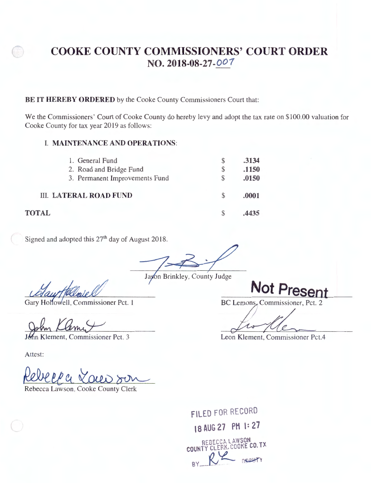# **COOKE COUNTY COMMISSIONERS' COURT ORDER NO. 2018-08-27- 001**

#### **BE IT HEREBY ORDERED** by the Cooke County Commissioners Court that:

We the Commissioners' Court of Cooke County do hereby levy and adopt the tax rate on \$100.00 valuation for Cooke County for tax year 2019 as follows:

### I. **MAINTENANCE AND OPERATIONS:**

| 1. General Fund<br>2. Road and Bridge Fund<br>3. Permanent Improvements Fund | S<br>\$<br>S | .3134<br>.1150<br>.0150 |
|------------------------------------------------------------------------------|--------------|-------------------------|
| <b>III. LATERAL ROAD FUND</b>                                                | S            | .0001                   |
| 'AL                                                                          |              | 4435                    |

Signed and adopted this 27<sup>th</sup> day of August 2018.

Gary Hollowell, Commissioner Pct. 1

ement, Commissioner Pct. 3

Attest:

<u>Revelle</u> Rebecca Lawson, Cooke County Clerk

FILED FOR RECORD **\8 AUG 27 PM \: 27**  REBECCALAW SON COUNTY CLERK, COOKE CO. IA  $R$   $\sim$   $R$   $\sim$   $R$   $\sim$   $\sim$ 

**Not Present BC Lemons, Commissioner, Pct. 2** 

Not Present<br>BC Lemons, Commissioner, Pct. 2<br>Leon Klement, Commissioner Pct.4

**TOTAL**